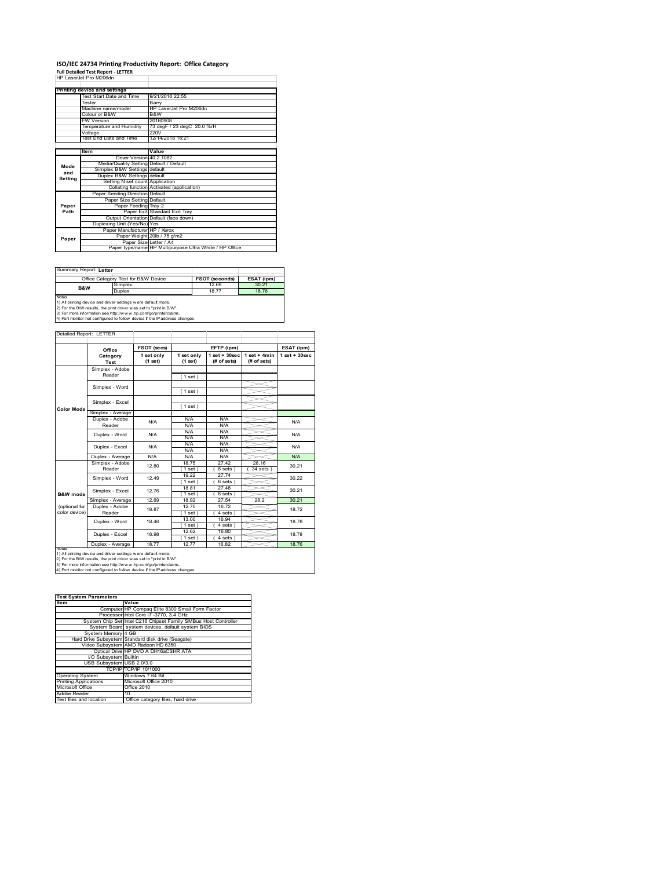# **ISO/IEC 24734 Printing Productivity Report: Office Category Full Detailed Test Report ‐ LETTER** HP LaserJet Pro M206dn

|         | HP Laser.let Pro M206dn                 |                                                         |
|---------|-----------------------------------------|---------------------------------------------------------|
|         | Printing device and settings            |                                                         |
|         | Test Start Date and Time                | 9/21/2016 22:55                                         |
|         | Tester                                  | Barry                                                   |
|         | Machine name/model                      | HP LaserJet Pro M206dn                                  |
|         | Colour or B&W                           | B&W                                                     |
|         | <b>FW Version</b>                       | 20160908                                                |
|         | Temperature and Humidity                | 73 degF / 23 degC 20.0 %rH                              |
|         | Voltage                                 | 220V                                                    |
|         | Test End Date and Time                  | 12/14/2018 16:21                                        |
|         |                                         |                                                         |
|         | Item                                    | Value                                                   |
|         | Driver Version 40.2.1082                |                                                         |
| Mode    | Media/Quality Setting Default / Default |                                                         |
| and     | Simplex B&W Settings default            |                                                         |
| Setting | Duplex B&W Settings default             |                                                         |
|         | Setting N set count Application         |                                                         |
|         |                                         | Collating function Activated (application)              |
|         | Paper Sending Direction Default         |                                                         |
|         | Paper Size Setting Default              |                                                         |
| Paper   | Paper Feeding Tray 2                    |                                                         |
| Path    |                                         | Paper Exit Standard Exit Tray                           |
|         |                                         | Output Orientation Default (face down)                  |
|         | Duplexing Unit (Yes/No) Yes             |                                                         |
|         | Paper Manufacturer HP / Xerox           |                                                         |
| Paper   |                                         | Paper Weight 20lb / 75 g/m2                             |
|         | Paper Size Letter / A4                  |                                                         |
|         |                                         | Paper type/name HP Multipurpose Ultra White / HP Office |

Summary Report: **Letter**

|                                                                | Office Category Test for B&W Device                               | <b>FSOT (seconds)</b> | ESAT (ipm) |  |  |  |
|----------------------------------------------------------------|-------------------------------------------------------------------|-----------------------|------------|--|--|--|
| B&W                                                            | Simplex                                                           | 12.69                 | 30.21      |  |  |  |
|                                                                | Duplex                                                            | 1877                  | 1876       |  |  |  |
| Notes                                                          |                                                                   |                       |            |  |  |  |
| 1) All printing device and driver settings w ere default mode. |                                                                   |                       |            |  |  |  |
|                                                                | 2) For the RAM results the print driver was set to "print in RAM" |                       |            |  |  |  |

2) For the B/W results, the print driver w as set to "print in B/W".<br>3) For more information see http://w w w .hp.com/go/printerclaims.<br>4) Port monitor not configured to follow device if the IP address changes.

|                   | Office            | FSOT (secs)           |                       | EFTP (ipm)                       |                               | ESAT (ipm)        |  |
|-------------------|-------------------|-----------------------|-----------------------|----------------------------------|-------------------------------|-------------------|--|
|                   | Category<br>Test  | 1 set only<br>(1 set) | 1 set only<br>(1 set) | $1$ set $+30$ sec<br>(# of sets) | $1$ set + 4min<br>(# of sets) | $1$ set $+30$ sec |  |
|                   | Simplex - Adobe   |                       |                       |                                  |                               |                   |  |
|                   | Reader            |                       | (1 set)               |                                  |                               |                   |  |
|                   | Simplex - Word    |                       |                       |                                  |                               |                   |  |
|                   |                   |                       | (1 set)               |                                  |                               |                   |  |
|                   |                   |                       |                       |                                  |                               |                   |  |
| <b>Color Mode</b> | Simplex - Excel   |                       | (1 set)               |                                  |                               |                   |  |
|                   | Simplex - Average |                       |                       |                                  |                               |                   |  |
|                   | Duplex - Adobe    | N/A                   | N/A                   | N/A                              |                               | N/A               |  |
|                   | Reader            |                       | N/A                   | N/A                              |                               |                   |  |
|                   | Duplex - Word     | N/A                   | N/A                   | N/A                              |                               | N/A               |  |
|                   |                   |                       | N/A                   | N/A                              |                               |                   |  |
|                   | Duplex - Excel    | N/A                   | N/A                   | N/A                              |                               | N/A               |  |
|                   |                   |                       | N/A                   | N/A                              |                               |                   |  |
|                   | Duplex - Average  | N/A                   | N/A                   | N/A                              |                               | N/A               |  |
|                   | Simplex - Adobe   | 12.80                 | 1875                  | 2742                             | 28 16                         | 30.21             |  |
|                   | Reader            |                       | $1$ set)              | 6 sets)                          | $34$ sets                     |                   |  |
|                   | Simplex - Word    | 12 49                 | 19.22                 | 27.74                            |                               | 30.22             |  |
|                   |                   |                       | $1$ set)              | 6 sets)                          |                               |                   |  |
|                   | Simplex - Excel   | 1276                  | 18.81                 | 27.48                            |                               | 30.21             |  |
| B&W mode          |                   |                       | $1$ set)              | 6 sets 1                         |                               |                   |  |
|                   | Simplex - Average | 12.69                 | 18.92                 | 27.54                            | 28.2                          | 30.21             |  |
| (optional for     | Duplex - Adobe    | 18.87                 | 12.70                 | 16.72                            |                               |                   |  |
| color device)     | Reader            |                       | $1$ set)              | 4 sets)                          |                               | 1872              |  |
|                   |                   | 18.46                 | 13.00                 | 16.94                            |                               | 18.78             |  |
|                   | Duplex - Word     |                       | $1$ set)              | 4 sets)                          |                               |                   |  |
|                   |                   | 18.98                 | 12.62                 | 16.80                            |                               | 1878              |  |
|                   | Duplex - Excel    |                       | 1 set)                | $4 sets$ )                       |                               |                   |  |
|                   | Duplex - Average  | 18.77                 | 12.77                 | 16.82                            |                               | 18.76             |  |

1) All printing device and driver settings were default mode.<br>2) For the B/W results, the print driver was set to "print in B/W".<br>3) For more information see http://www.hp.com/go/printerclaims.<br>4) Port monitor not configur

| <b>Test System Parameters</b> |                                                                 |  |  |  |
|-------------------------------|-----------------------------------------------------------------|--|--|--|
| <b>Item</b>                   | Value                                                           |  |  |  |
|                               | Computer HP Compaq Elite 8300 Small Form Factor                 |  |  |  |
|                               | Processor Intel Core i7 -3770, 3.4 GHz                          |  |  |  |
|                               | System Chip Set Intel C216 Chipset Family SMBus Host Controller |  |  |  |
|                               | System Board system devices, default system BIOS                |  |  |  |
| System Memory 4 GB            |                                                                 |  |  |  |
|                               | Hard Drive Subsystem Standard disk drive (Seagate)              |  |  |  |
|                               | Video Subsystem AMD Radeon HD 6350                              |  |  |  |
|                               | Optical Drive HP DVD A DH16aCSHR ATA                            |  |  |  |
| I/O Subsystem Builtin         |                                                                 |  |  |  |
| USB Subsystem USB 2.0/3.0     |                                                                 |  |  |  |
|                               | TCP/IP TCP/IP 10/1000                                           |  |  |  |
| <b>Operating System</b>       | Windows 7 64 Bit                                                |  |  |  |
| <b>Printing Applications</b>  | Microsoft Office 2010                                           |  |  |  |
| Microsoft Office              | Office 2010                                                     |  |  |  |
| Adobe Reader                  | 10                                                              |  |  |  |
| Test files and location       | Office category files, hard drive                               |  |  |  |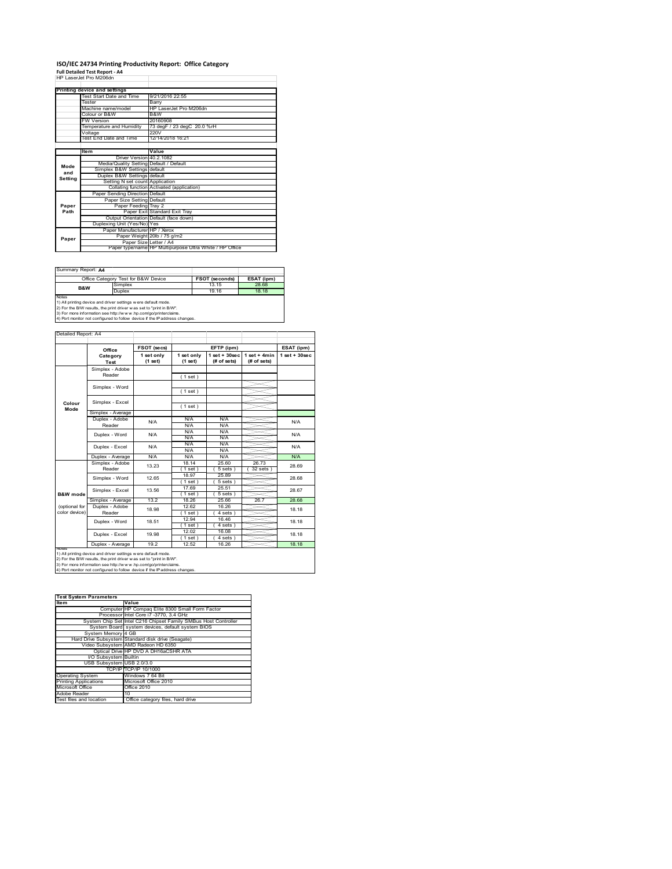#### **ISO/IEC 24734 Printing Productivity Report: Office Category Full Detailed Test Report ‐ A4** HP LaserJet Pro M206dn

|         | HP Laserjet Pro M2060n                  |                                                         |
|---------|-----------------------------------------|---------------------------------------------------------|
|         | Printing device and settings            |                                                         |
|         | Test Start Date and Time                | 9/21/2016 22:55                                         |
|         | Tester                                  | Barry                                                   |
|         | Machine name/model                      | HP LaserJet Pro M206dn                                  |
|         | Colour or B&W                           | B&W                                                     |
|         | <b>FW Version</b>                       | 20160908                                                |
|         | Temperature and Humidity                | 73 degF / 23 degC 20.0 %rH                              |
|         | Voltage                                 | 220V                                                    |
|         | Test End Date and Time                  | 12/14/2018 16:21                                        |
|         |                                         |                                                         |
|         | Item                                    | Value                                                   |
|         | Driver Version 40.2.1082                |                                                         |
| Mode    | Media/Quality Setting Default / Default |                                                         |
| and     | Simplex B&W Settings default            |                                                         |
| Setting | Duplex B&W Settings default             |                                                         |
|         | Setting N set count Application         |                                                         |
|         |                                         | Collating function Activated (application)              |
|         | Paper Sending Direction Default         |                                                         |
|         | Paper Size Setting Default              |                                                         |
| Paper   | Paper Feeding Tray 2                    |                                                         |
| Path    |                                         | Paper Exit Standard Exit Trav                           |
|         |                                         | Output Orientation Default (face down)                  |
|         | Duplexing Unit (Yes/No) Yes             |                                                         |
|         | Paper Manufacturer HP / Xerox           |                                                         |
| Paper   |                                         | Paper Weight 20lb / 75 g/m2                             |
|         | Paper Size Letter / A4                  |                                                         |
|         |                                         | Paper type/name HP Multipurpose Ultra White / HP Office |

Summary Report: **A4**

| PQQUIIIIII.                                                    |                                                                   |                       |            |  |  |  |
|----------------------------------------------------------------|-------------------------------------------------------------------|-----------------------|------------|--|--|--|
|                                                                | Office Category Test for B&W Device                               | <b>FSOT (seconds)</b> | ESAT (ipm) |  |  |  |
| B&W                                                            | Simplex                                                           | 13 15                 | 28.68      |  |  |  |
|                                                                | Duplex                                                            | 19 16                 | 18 18      |  |  |  |
| Notes                                                          |                                                                   |                       |            |  |  |  |
| 1) All printing device and driver settings w ere default mode. |                                                                   |                       |            |  |  |  |
|                                                                | 2) For the RAM require the print driver was not to "print in RAA" |                       |            |  |  |  |

2) For the B/W results, the print driver w as set to "print in B/W".<br>3) For more information see http://w w w .hp.com/go/printerclaims.<br>4) Port monitor not configured to follow device if the IP address changes.

|                     | Office            | FSOT (secs)             |                       | EFTP (ipm)                       |                               | ESAT (ipm)         |
|---------------------|-------------------|-------------------------|-----------------------|----------------------------------|-------------------------------|--------------------|
|                     | Category<br>Test  | 1 set only<br>$(1$ set) | 1 set only<br>(1 set) | $1$ set $+30$ sec<br>(# of sets) | $1$ set + 4min<br>(# of sets) | $1$ set + $30$ sec |
|                     | Simplex - Adobe   |                         |                       |                                  |                               |                    |
|                     | Reader            |                         | (1 set)               |                                  |                               |                    |
|                     | Simplex - Word    |                         |                       |                                  |                               |                    |
|                     |                   |                         | (1 set)               |                                  |                               |                    |
|                     | Simplex - Excel   |                         |                       |                                  |                               |                    |
| Colour<br>Mode      |                   |                         | (1 set)               |                                  |                               |                    |
|                     | Simplex - Average |                         |                       |                                  |                               |                    |
|                     | Duplex - Adobe    | N/A                     | N/A                   | N/A                              |                               | N/A                |
|                     | Reader            |                         | N/A                   | N/A                              |                               |                    |
|                     | Duplex - Word     | N/A                     | N/A                   | N/A                              |                               | N/A                |
|                     |                   |                         | N/A                   | N/A                              |                               |                    |
|                     | Duplex - Excel    | N/A                     | N/A                   | N/A                              |                               | N/A                |
|                     |                   |                         | N/A                   | N/A                              |                               |                    |
|                     | Duplex - Average  | N/A                     | N/A                   | N/A                              |                               | N/A                |
|                     | Simplex - Adobe   | 13.23                   | 18.14                 | 25.60                            | 26.73                         | 28.69              |
|                     | Reader            |                         | (1 set)               | 5 sets)                          | 32 sets 1                     |                    |
|                     | Simplex - Word    | 12 65                   | 18.97                 | 25.89                            |                               | 28.68              |
|                     |                   |                         | 1 set )               | 5 sets)                          |                               |                    |
|                     | Simplex - Excel   | 13.56                   | 17.69                 | 25.51                            |                               | 28.67              |
| <b>B&amp;W</b> mode |                   |                         | (1 set)               | 5 sets                           |                               |                    |
|                     | Simplex - Average | 132                     | 18.26                 | 25.66                            | 26.7                          | 28.68              |
| (optional for       | Duplex - Adobe    | 18.98                   | 12.62                 | 16.26                            |                               | 18.18              |
| color device)       | Reader            |                         | $1$ set)              | $4 sets$ )                       |                               |                    |
|                     | Duplex - Word     | 18.51                   | 12.94                 | 16.46                            |                               | 18.18              |
|                     |                   |                         | $1$ set $1$           | 4 sets                           |                               |                    |
|                     | Duplex - Excel    | 19.98                   | 12.02                 | 16.08                            |                               | 18.18              |
|                     |                   |                         | $1$ set)              | 4 sets 1                         |                               |                    |
|                     | Duplex - Average  | 19.2                    | 12.52                 | 16.26                            |                               | 18 18              |

1) All printing device and driver settings were default mode.<br>2) For the B/W results, the print driver was set to "print in B/W".<br>3) For more information see http://www.hp.com/go/printerclaims.<br>4) Port monitor not configur

| <b>Test System Parameters</b> |                                                                 |  |  |  |
|-------------------------------|-----------------------------------------------------------------|--|--|--|
| <b>Item</b>                   | Value                                                           |  |  |  |
|                               | Computer HP Compag Elite 8300 Small Form Factor                 |  |  |  |
|                               | Processor Intel Core i7 -3770, 3.4 GHz                          |  |  |  |
|                               | System Chip Set Intel C216 Chipset Family SMBus Host Controller |  |  |  |
|                               | System Board system devices, default system BIOS                |  |  |  |
| System Memory 4 GB            |                                                                 |  |  |  |
|                               | Hard Drive Subsystem Standard disk drive (Seagate)              |  |  |  |
|                               | Video Subsystem AMD Radeon HD 6350                              |  |  |  |
|                               | Optical Drive HP DVD A DH16aCSHR ATA                            |  |  |  |
| I/O Subsystem Builtin         |                                                                 |  |  |  |
| USB Subsystem USB 2.0/3.0     |                                                                 |  |  |  |
|                               | TCP/IP TCP/IP 10/1000                                           |  |  |  |
| <b>Operating System</b>       | Windows 7 64 Bit                                                |  |  |  |
| <b>Printing Applications</b>  | Microsoft Office 2010                                           |  |  |  |
| Microsoft Office              | Office 2010                                                     |  |  |  |
| Adobe Reader                  | 10                                                              |  |  |  |
| Test files and location       | Office category files, hard drive                               |  |  |  |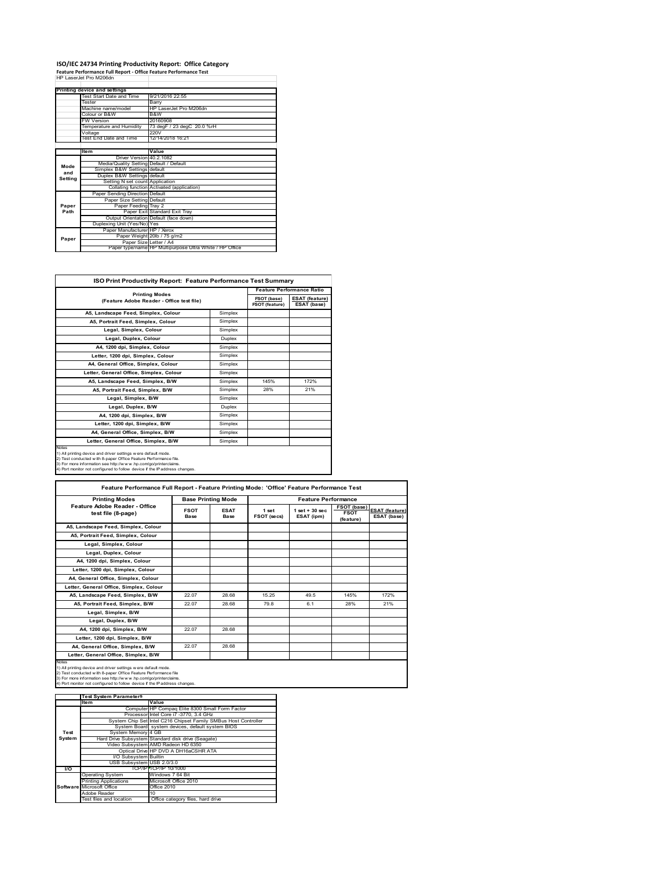## **ISO/IEC 24734 Printing Productivity Report: Office Category Feature Performance Full Report ‐ Office Feature Performance Test** HP LaserJet Pro M206dn

|         | Feature Performance Full Report - Office Feature Performance Test |                                                         |  |  |  |
|---------|-------------------------------------------------------------------|---------------------------------------------------------|--|--|--|
|         | HP Laser let Pro M206dn                                           |                                                         |  |  |  |
|         |                                                                   |                                                         |  |  |  |
|         | Printing device and settings                                      |                                                         |  |  |  |
|         | Test Start Date and Time                                          | 9/21/2016 22:55                                         |  |  |  |
|         | Tester                                                            | Barry                                                   |  |  |  |
|         | Machine name/model                                                | HP LaserJet Pro M206dn                                  |  |  |  |
|         | Colour or B&W                                                     | B&W                                                     |  |  |  |
|         | <b>FW Version</b>                                                 | 20160908                                                |  |  |  |
|         | Temperature and Humidity                                          | 73 degF / 23 degC 20.0 %rH                              |  |  |  |
|         | Voltage                                                           | 220V                                                    |  |  |  |
|         | Test End Date and Time                                            | 12/14/2018 16:21                                        |  |  |  |
|         |                                                                   |                                                         |  |  |  |
|         | Item                                                              | Value                                                   |  |  |  |
|         | Driver Version 40.2.1082                                          |                                                         |  |  |  |
| Mode    | Media/Quality Setting Default / Default                           |                                                         |  |  |  |
| and     | Simplex B&W Settings default                                      |                                                         |  |  |  |
| Setting | Duplex B&W Settings default                                       |                                                         |  |  |  |
|         | Setting N set count Application                                   |                                                         |  |  |  |
|         |                                                                   | Collating function Activated (application)              |  |  |  |
|         | Paper Sending Direction Default                                   |                                                         |  |  |  |
|         | Paper Size Setting Default                                        |                                                         |  |  |  |
| Paper   | Paper Feeding Tray 2                                              |                                                         |  |  |  |
| Path    |                                                                   | Paper Exit Standard Exit Tray                           |  |  |  |
|         |                                                                   | Output Orientation Default (face down)                  |  |  |  |
|         | Duplexing Unit (Yes/No) Yes                                       |                                                         |  |  |  |
|         | Paper Manufacturer HP / Xerox                                     |                                                         |  |  |  |
| Paper   |                                                                   | Paper Weight 20lb / 75 g/m2                             |  |  |  |
|         | Paper Size Letter / A4                                            |                                                         |  |  |  |
|         |                                                                   | Paper type/name HP Multipurpose Ultra White / HP Office |  |  |  |

| <b>ISO Print Productivity Report: Feature Performance Test Summary</b>                                                                                                                                                                                                                      |               |                                      |                                      |  |  |
|---------------------------------------------------------------------------------------------------------------------------------------------------------------------------------------------------------------------------------------------------------------------------------------------|---------------|--------------------------------------|--------------------------------------|--|--|
| <b>Printing Modes</b>                                                                                                                                                                                                                                                                       |               |                                      |                                      |  |  |
| (Feature Adobe Reader - Office test file)                                                                                                                                                                                                                                                   |               | FSOT (base)<br><b>FSOT (feature)</b> | <b>ESAT (feature)</b><br>ESAT (base) |  |  |
| A5, Landscape Feed, Simplex, Colour                                                                                                                                                                                                                                                         | Simplex       |                                      |                                      |  |  |
| A5. Portrait Feed. Simplex. Colour                                                                                                                                                                                                                                                          | Simplex       |                                      |                                      |  |  |
| Legal, Simplex, Colour                                                                                                                                                                                                                                                                      | Simplex       |                                      |                                      |  |  |
| Legal, Duplex, Colour                                                                                                                                                                                                                                                                       | <b>Duplex</b> |                                      |                                      |  |  |
| A4, 1200 dpi, Simplex, Colour                                                                                                                                                                                                                                                               | Simplex       |                                      |                                      |  |  |
| Letter, 1200 dpi, Simplex, Colour                                                                                                                                                                                                                                                           | Simplex       |                                      |                                      |  |  |
| A4. General Office. Simplex. Colour                                                                                                                                                                                                                                                         | Simplex       |                                      |                                      |  |  |
| Letter, General Office, Simplex, Colour                                                                                                                                                                                                                                                     | Simplex       |                                      |                                      |  |  |
| A5. Landscape Feed. Simplex. B/W                                                                                                                                                                                                                                                            | Simplex       | 145%                                 | 172%                                 |  |  |
| A5, Portrait Feed, Simplex, B/W                                                                                                                                                                                                                                                             | Simplex       | 28%                                  | 21%                                  |  |  |
| Legal, Simplex, B/W                                                                                                                                                                                                                                                                         | Simplex       |                                      |                                      |  |  |
| Legal, Duplex, B/W                                                                                                                                                                                                                                                                          | <b>Duplex</b> |                                      |                                      |  |  |
| A4, 1200 dpi, Simplex, B/W                                                                                                                                                                                                                                                                  | Simplex       |                                      |                                      |  |  |
| Letter, 1200 dpi. Simplex, B/W                                                                                                                                                                                                                                                              | Simplex       |                                      |                                      |  |  |
| A4, General Office, Simplex, B/W                                                                                                                                                                                                                                                            | Simplex       |                                      |                                      |  |  |
| Letter, General Office, Simplex, B/W                                                                                                                                                                                                                                                        | Simplex       |                                      |                                      |  |  |
| Notes<br>1) All printing device and driver settings w ere default mode.<br>2) Test conducted with 8-paper Office Feature Performance file.<br>3) For more information see http://www.hp.com/go/printerclaims.<br>4) Port monitor not configured to follow device if the IP address changes. |               |                                      |                                      |  |  |

| <b>Printing Modes</b>                               | <b>Base Printing Mode</b>  |                     | <b>Feature Performance</b> |                                  |                                                |                                      |
|-----------------------------------------------------|----------------------------|---------------------|----------------------------|----------------------------------|------------------------------------------------|--------------------------------------|
| Feature Adobe Reader - Office<br>test file (8-page) | <b>FSOT</b><br><b>Base</b> | <b>ESAT</b><br>Base | 1 set<br>FSOT (secs)       | $1$ set $+30$ sec.<br>ESAT (ipm) | <b>FSOT (base)</b><br><b>FSOT</b><br>(feature) | <b>ESAT (feature)</b><br>ESAT (base) |
| A5. Landscape Feed. Simplex. Colour                 |                            |                     |                            |                                  |                                                |                                      |
| A5, Portrait Feed, Simplex, Colour                  |                            |                     |                            |                                  |                                                |                                      |
| Legal, Simplex, Colour                              |                            |                     |                            |                                  |                                                |                                      |
| Legal, Duplex, Colour                               |                            |                     |                            |                                  |                                                |                                      |
| A4, 1200 dpi, Simplex, Colour                       |                            |                     |                            |                                  |                                                |                                      |
| Letter, 1200 dpi. Simplex, Colour                   |                            |                     |                            |                                  |                                                |                                      |
| A4, General Office, Simplex, Colour                 |                            |                     |                            |                                  |                                                |                                      |
| Letter, General Office, Simplex, Colour             |                            |                     |                            |                                  |                                                |                                      |
| A5, Landscape Feed, Simplex, B/W                    | 22.07                      | 28.68               | 15.25                      | 49.5                             | 145%                                           | 172%                                 |
| A5, Portrait Feed, Simplex, B/W                     | 22.07                      | 28.68               | 79.8                       | 6.1                              | 28%                                            | 21%                                  |
| Legal, Simplex, B/W                                 |                            |                     |                            |                                  |                                                |                                      |
| Legal, Duplex, B/W                                  |                            |                     |                            |                                  |                                                |                                      |
| A4. 1200 dpi. Simplex. B/W                          | 22.07                      | 28.68               |                            |                                  |                                                |                                      |
| Letter, 1200 dpi, Simplex, B/W                      |                            |                     |                            |                                  |                                                |                                      |
| A4, General Office, Simplex, B/W                    | 22.07                      | 28.68               |                            |                                  |                                                |                                      |
|                                                     |                            |                     |                            |                                  |                                                |                                      |

|               | <b>Test System Parameters</b> |                                                                 |  |  |
|---------------|-------------------------------|-----------------------------------------------------------------|--|--|
|               | <b>Item</b>                   | Value                                                           |  |  |
|               |                               | Computer HP Compaq Elite 8300 Small Form Factor                 |  |  |
|               |                               | Processor Intel Core i7 -3770, 3.4 GHz                          |  |  |
|               |                               | System Chip Set Intel C216 Chipset Family SMBus Host Controller |  |  |
|               |                               | System Board system devices, default system BIOS                |  |  |
| Test          | System Memory 4 GB            |                                                                 |  |  |
| <b>System</b> |                               | Hard Drive Subsystem Standard disk drive (Seagate)              |  |  |
|               |                               | Video Subsystem AMD Radeon HD 6350                              |  |  |
|               |                               | Optical Drive HP DVD A DH16aCSHR ATA                            |  |  |
|               | I/O Subsystem Builtin         |                                                                 |  |  |
|               | USB Subsystem USB 2.0/3.0     |                                                                 |  |  |
| <b>VO</b>     |                               | TCP/IP TCP/IP 10/1000                                           |  |  |
|               | <b>Operating System</b>       | Windows 7 64 Bit                                                |  |  |
|               | <b>Printing Applications</b>  | Microsoft Office 2010                                           |  |  |
|               | Software Microsoft Office     | Office 2010                                                     |  |  |
|               | Adobe Reader                  | 10                                                              |  |  |
|               | Test files and location       | Office category files, hard drive                               |  |  |
|               |                               |                                                                 |  |  |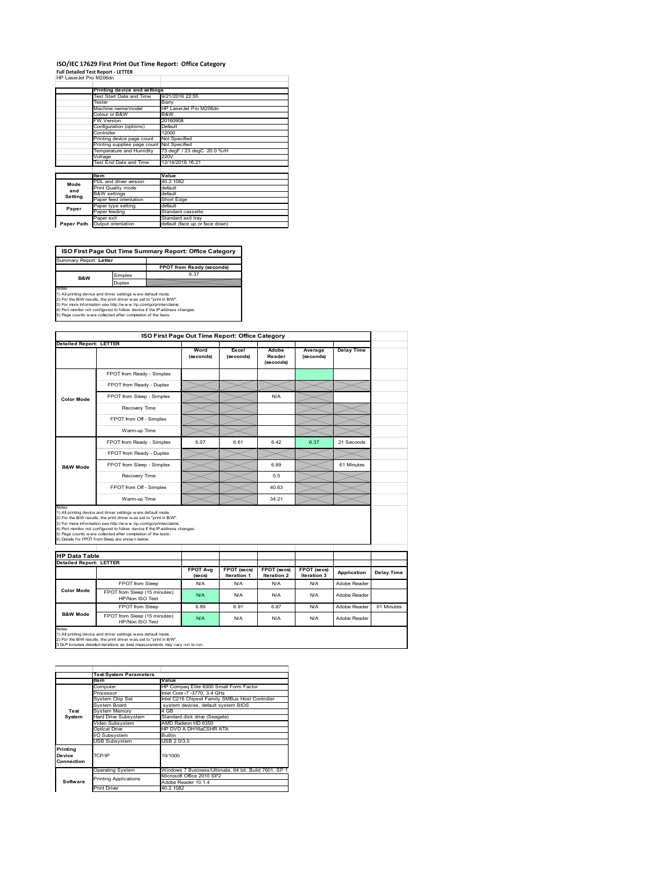### **ISO/IEC 17629 First Print Out Time Report: Office Category**

**Full Detailed Test Report ‐ LETTER** HP LaserJet Pro M206dn

| III LGO CIUCLIIU IVIZUUCII |                              |                                |  |  |  |
|----------------------------|------------------------------|--------------------------------|--|--|--|
|                            | Printing device and settings |                                |  |  |  |
| Test Start Date and Time   |                              | 9/21/2016 22:55                |  |  |  |
|                            | Tester                       | Barry                          |  |  |  |
|                            | Machine name/model           | HP LaserJet Pro M206dn         |  |  |  |
|                            | Colour or B&W                | B&W<br>20160908                |  |  |  |
|                            | <b>FW Version</b>            |                                |  |  |  |
|                            | Configuration (options)      | Default                        |  |  |  |
|                            | Controller                   | 12000                          |  |  |  |
|                            | Printing device page count   | Not Specified                  |  |  |  |
|                            | Printing supplies page count | Not Specified                  |  |  |  |
|                            | Temperature and Humidity     | 73 degF / 23 degC 20.0 %rH     |  |  |  |
|                            | Voltage                      | 220V                           |  |  |  |
|                            | Test End Date and Time       | 12/14/2018 16:21               |  |  |  |
|                            |                              |                                |  |  |  |
|                            | <b>Item</b>                  | Value                          |  |  |  |
| Mode                       | PDL and driver version       | 40.2.1082                      |  |  |  |
| and                        | Print Quality mode           | default                        |  |  |  |
| Setting                    | <b>B&amp;W</b> settings      | default                        |  |  |  |
|                            | Paper feed orientation       | Short Edge                     |  |  |  |
| Paper                      | Paper type setting           | default                        |  |  |  |
|                            | Paper feeding                | Standard cassette              |  |  |  |
|                            | Paper exit                   | Standard exit tray             |  |  |  |
| Paper Path                 | Output orientation           | default (face up or face down) |  |  |  |

**FPOT from Ready (seconds)**<br>
Simplex 6.37 **ISO First Page Out Time Summary Report: Office Category** t: Letter

**B&W**

**Duplex**<br>Notes<br>1) All printing device and driver settings were default mode.<br>2) For the BM results, the print driver was set to "print in BM".<br>4) For more information see http://www.hp.com/golprinterclaims.<br>4) Port monitor

|                                |                                                                                                                                                                                                                                                                                                                                                                                                             | ISO First Page Out Time Report: Office Category |                    |                              |                      |                              |            |
|--------------------------------|-------------------------------------------------------------------------------------------------------------------------------------------------------------------------------------------------------------------------------------------------------------------------------------------------------------------------------------------------------------------------------------------------------------|-------------------------------------------------|--------------------|------------------------------|----------------------|------------------------------|------------|
|                                | <b>Detailed Report: LETTER</b>                                                                                                                                                                                                                                                                                                                                                                              | Word<br>(seconds)                               | Excel<br>(seconds) | Adobe<br>Reader<br>(seconds) | Average<br>(seconds) | <b>Delay Time</b>            |            |
|                                | FPOT from Ready - Simplex                                                                                                                                                                                                                                                                                                                                                                                   |                                                 |                    |                              |                      |                              |            |
|                                | FPOT from Ready - Duplex                                                                                                                                                                                                                                                                                                                                                                                    |                                                 |                    |                              |                      |                              |            |
| <b>Color Mode</b>              | FPOT from Sleep - Simplex                                                                                                                                                                                                                                                                                                                                                                                   |                                                 |                    | N/A                          |                      |                              |            |
|                                | Recovery Time                                                                                                                                                                                                                                                                                                                                                                                               |                                                 |                    |                              |                      |                              |            |
|                                | FPOT from Off - Simplex                                                                                                                                                                                                                                                                                                                                                                                     |                                                 |                    |                              |                      |                              |            |
|                                | Warm-up Time                                                                                                                                                                                                                                                                                                                                                                                                |                                                 |                    |                              |                      |                              |            |
|                                | FPOT from Ready - Simplex                                                                                                                                                                                                                                                                                                                                                                                   | 6.07                                            | 6.61               | 642                          | 6.37                 | 21 Seconds                   |            |
|                                | FPOT from Ready - Duplex                                                                                                                                                                                                                                                                                                                                                                                    |                                                 |                    |                              |                      |                              |            |
| <b>B&amp;W Mode</b>            | FPOT from Sleep - Simplex                                                                                                                                                                                                                                                                                                                                                                                   |                                                 |                    | 6.89                         |                      | 61 Minutes                   |            |
|                                | Recovery Time                                                                                                                                                                                                                                                                                                                                                                                               |                                                 |                    | 0.5                          |                      |                              |            |
|                                |                                                                                                                                                                                                                                                                                                                                                                                                             |                                                 |                    |                              |                      |                              |            |
|                                | FPOT from Off - Simplex                                                                                                                                                                                                                                                                                                                                                                                     |                                                 |                    | 40.63                        |                      |                              |            |
|                                | Warm-up Time                                                                                                                                                                                                                                                                                                                                                                                                |                                                 |                    | 34.21                        |                      |                              |            |
| Notes<br><b>HP Data Table</b>  | 1) All printing device and driver settings w ere default mode.<br>2) For the B/W results, the print driver was set to "print in B/W".<br>3) For more information see http://www.hp.com/go/printerclaims.<br>4) Port monitor not configured to follow device if the IP address changes.<br>5) Page counts w ere collected after completion of the tests.<br>6) Details for FPOT from Sleep are show n below. |                                                 |                    |                              |                      |                              |            |
| <b>Detailed Report: LETTER</b> |                                                                                                                                                                                                                                                                                                                                                                                                             | <b>FPOT Avg</b>                                 | FPOT (secs)        | FPOT (secs)                  | FPOT (secs)          |                              |            |
|                                |                                                                                                                                                                                                                                                                                                                                                                                                             | (se cs)                                         | Iteration 1        | Iteration 2                  | Iteration 3          | Application                  | Delay Time |
| <b>Color Mode</b>              | FPOT from Sleep<br>FPOT from Sleep (15 minutes)<br>HP/Non ISO Test                                                                                                                                                                                                                                                                                                                                          | N/A<br>N/A                                      | N/A<br>N/A         | N/A<br>N/A                   | N/A<br>N/A           | Adobe Reader<br>Adobe Reader |            |
| <b>B&amp;W Mode</b>            | FPOT from Sleep                                                                                                                                                                                                                                                                                                                                                                                             | 6.89                                            | 6.91               | 6.87                         | N/A                  | Adobe Reader                 | 61 Minutes |

1) All printing device and driver settings w ere default mode.<br>2) For the B/W results, the print driver w as set to "print in B/W".<br>3 DLP includes detailed iterations as data measurements may vary run to run.

|            | <b>Test System Parameters</b> |                                                       |  |  |  |  |
|------------|-------------------------------|-------------------------------------------------------|--|--|--|--|
|            |                               |                                                       |  |  |  |  |
|            | <b>Item</b>                   | Value                                                 |  |  |  |  |
|            | Computer                      | HP Compag Elite 8300 Small Form Factor                |  |  |  |  |
|            | Processor                     | Intel Core i7 -3770, 3.4 GHz                          |  |  |  |  |
|            | System Chip Set               | Intel C216 Chipset Family SMBus Host Controller       |  |  |  |  |
|            | System Board                  | system devices, default system BIOS                   |  |  |  |  |
| Test       | <b>System Memory</b>          | 4 GB                                                  |  |  |  |  |
| System     | Hard Drive Subsystem          | Standard disk drive (Seagate)                         |  |  |  |  |
|            | Video Subsystem               | AMD Radeon HD 6350                                    |  |  |  |  |
|            | Optical Drive                 | HP DVD A DH16aCSHR ATA                                |  |  |  |  |
|            | VO Subsystem                  | <b>Builtin</b>                                        |  |  |  |  |
|            | <b>USB Subsystem</b>          | USB 2.0/3.0                                           |  |  |  |  |
| Printing   |                               |                                                       |  |  |  |  |
| Device     | TCP/IP                        | 10/1000                                               |  |  |  |  |
| Connection |                               |                                                       |  |  |  |  |
|            |                               |                                                       |  |  |  |  |
|            | <b>Operating System</b>       | Windows 7 Business/Ultimate, 64 bit, Build 7601, SP 1 |  |  |  |  |
|            | <b>Printing Applications</b>  | Microsoft Office 2010 SP2                             |  |  |  |  |
| Software   |                               | Adobe Reader 10.1.4                                   |  |  |  |  |
|            | <b>Print Driver</b>           | 40.2.1082                                             |  |  |  |  |